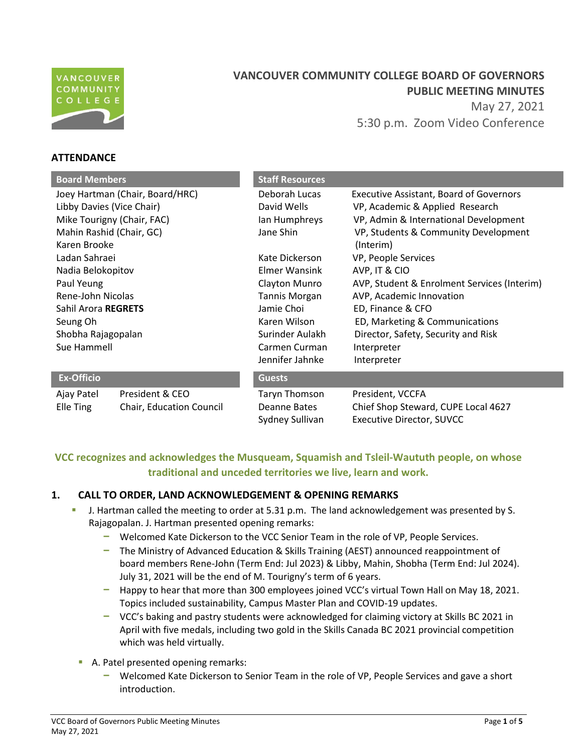

# **VANCOUVER COMMUNITY COLLEGE BOARD OF GOVERNORS PUBLIC MEETING MINUTES**  May 27, 2021 5:30 p.m. Zoom Video Conference

# **ATTENDANCE**

| <b>Board Members</b>            |                          | <b>Staff Resources</b> |                                                |
|---------------------------------|--------------------------|------------------------|------------------------------------------------|
|                                 |                          |                        |                                                |
| Joey Hartman (Chair, Board/HRC) |                          | Deborah Lucas          | <b>Executive Assistant, Board of Governors</b> |
| Libby Davies (Vice Chair)       |                          | David Wells            | VP, Academic & Applied Research                |
| Mike Tourigny (Chair, FAC)      |                          | lan Humphreys          | VP, Admin & International Development          |
| Mahin Rashid (Chair, GC)        |                          | Jane Shin              | VP, Students & Community Development           |
| Karen Brooke                    |                          |                        | (Interim)                                      |
| Ladan Sahraei                   |                          | Kate Dickerson         | VP, People Services                            |
| Nadia Belokopitov               |                          | Elmer Wansink          | AVP, IT & CIO                                  |
| Paul Yeung                      |                          | Clayton Munro          | AVP, Student & Enrolment Services (Interim)    |
| Rene-John Nicolas               |                          | <b>Tannis Morgan</b>   | AVP, Academic Innovation                       |
| Sahil Arora REGRETS             |                          | Jamie Choi             | ED, Finance & CFO                              |
| Seung Oh                        |                          | Karen Wilson           | ED, Marketing & Communications                 |
| Shobha Rajagopalan              |                          | Surinder Aulakh        | Director, Safety, Security and Risk            |
| Sue Hammell                     |                          | Carmen Curman          | Interpreter                                    |
|                                 |                          | Jennifer Jahnke        | Interpreter                                    |
| <b>Ex-Officio</b>               |                          | <b>Guests</b>          |                                                |
| Ajay Patel                      | President & CEO          | Taryn Thomson          | President, VCCFA                               |
| Elle Ting                       | Chair, Education Council | Deanne Bates           | Chief Shop Steward, CUPE Local 4627            |
|                                 |                          | Sydney Sullivan        | <b>Executive Director, SUVCC</b>               |

# **VCC recognizes and acknowledges the Musqueam, Squamish and Tsleil-Waututh people, on whose traditional and unceded territories we live, learn and work.**

## **1. CALL TO ORDER, LAND ACKNOWLEDGEMENT & OPENING REMARKS**

- **J.** Hartman called the meeting to order at 5.31 p.m. The land acknowledgement was presented by S. Rajagopalan. J. Hartman presented opening remarks:
	- Welcomed Kate Dickerson to the VCC Senior Team in the role of VP, People Services.
	- The Ministry of Advanced Education & Skills Training (AEST) announced reappointment of board members Rene-John (Term End: Jul 2023) & Libby, Mahin, Shobha (Term End: Jul 2024). July 31, 2021 will be the end of M. Tourigny's term of 6 years.
	- Happy to hear that more than 300 employees joined VCC's virtual Town Hall on May 18, 2021. Topics included sustainability, Campus Master Plan and COVID-19 updates.
	- VCC's baking and pastry students were acknowledged for claiming victory at Skills BC 2021 in April with five medals, including two gold in the Skills Canada BC 2021 provincial competition which was held virtually.
	- A. Patel presented opening remarks:
		- Welcomed Kate Dickerson to Senior Team in the role of VP, People Services and gave a short introduction.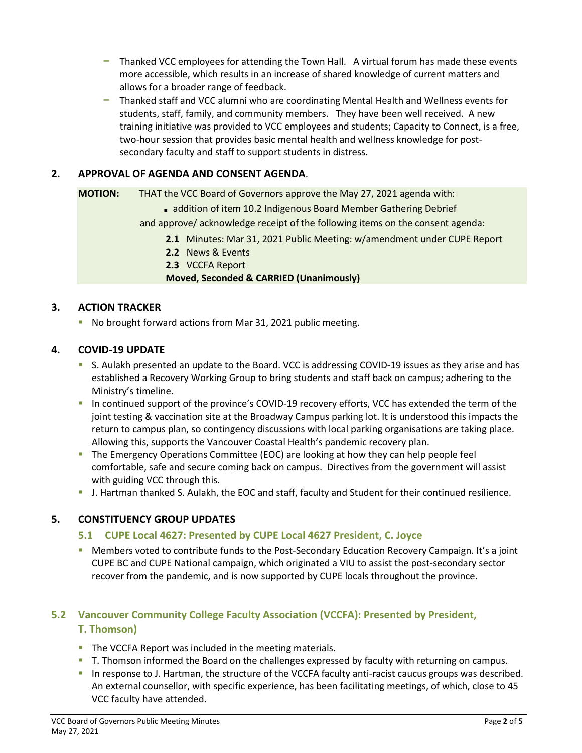- Thanked VCC employees for attending the Town Hall. A virtual forum has made these events more accessible, which results in an increase of shared knowledge of current matters and allows for a broader range of feedback.
- Thanked staff and VCC alumni who are coordinating Mental Health and Wellness events for students, staff, family, and community members. They have been well received. A new training initiative was provided to VCC employees and students; Capacity to Connect, is a free, two-hour session that provides basic mental health and wellness knowledge for postsecondary faculty and staff to support students in distress.

## **2. APPROVAL OF AGENDA AND CONSENT AGENDA**.

**MOTION:** THAT the VCC Board of Governors approve the May 27, 2021 agenda with:

addition of item 10.2 Indigenous Board Member Gathering Debrief

and approve/ acknowledge receipt of the following items on the consent agenda:

- **2.1** Minutes: Mar 31, 2021 Public Meeting: w/amendment under CUPE Report
- **2.2** News & Events
- **2.3** VCCFA Report

#### **Moved, Seconded & CARRIED (Unanimously)**

## **3. ACTION TRACKER**

No brought forward actions from Mar 31, 2021 public meeting.

## **4. COVID-19 UPDATE**

- S. Aulakh presented an update to the Board. VCC is addressing COVID-19 issues as they arise and has established a Recovery Working Group to bring students and staff back on campus; adhering to the Ministry's timeline.
- In continued support of the province's COVID-19 recovery efforts, VCC has extended the term of the joint testing & vaccination site at the Broadway Campus parking lot. It is understood this impacts the return to campus plan, so contingency discussions with local parking organisations are taking place. Allowing this, supports the Vancouver Coastal Health's pandemic recovery plan.
- The Emergency Operations Committee (EOC) are looking at how they can help people feel comfortable, safe and secure coming back on campus. Directives from the government will assist with guiding VCC through this.
- J. Hartman thanked S. Aulakh, the EOC and staff, faculty and Student for their continued resilience.

## **5. CONSTITUENCY GROUP UPDATES**

## **5.1 CUPE Local 4627: Presented by CUPE Local 4627 President, C. Joyce**

**EXT** Members voted to contribute funds to the Post-Secondary Education Recovery Campaign. It's a joint CUPE BC and CUPE National campaign, which originated a VIU to assist the post-secondary sector recover from the pandemic, and is now supported by CUPE locals throughout the province.

# **5.2 Vancouver Community College Faculty Association (VCCFA): Presented by President, T. Thomson)**

- The VCCFA Report was included in the meeting materials.
- T. Thomson informed the Board on the challenges expressed by faculty with returning on campus.
- In response to J. Hartman, the structure of the VCCFA faculty anti-racist caucus groups was described. An external counsellor, with specific experience, has been facilitating meetings, of which, close to 45 VCC faculty have attended.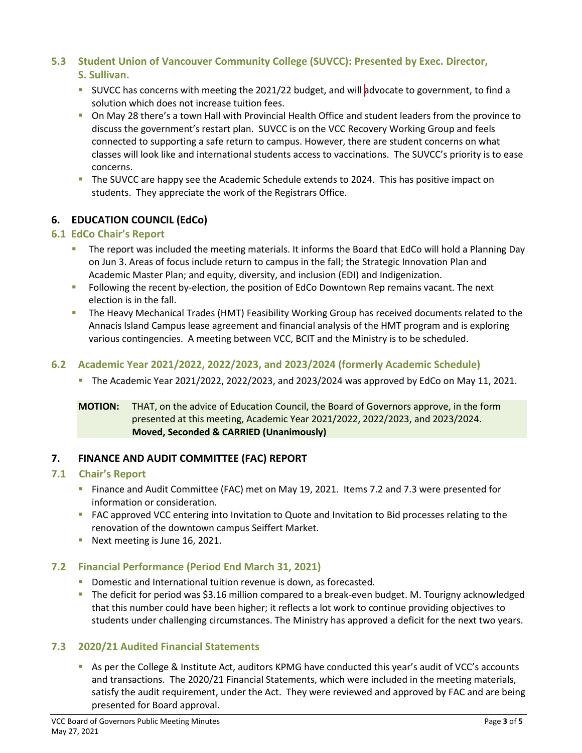## **5.3 Student Union of Vancouver Community College (SUVCC): Presented by Exec. Director, S. Sullivan.**

- SUVCC has concerns with meeting the 2021/22 budget, and will advocate to government, to find a solution which does not increase tuition fees.
- On May 28 there's a town Hall with Provincial Health Office and student leaders from the province to discuss the government's restart plan. SUVCC is on the VCC Recovery Working Group and feels connected to supporting a safe return to campus. However, there are student concerns on what classes will look like and international students access to vaccinations. The SUVCC's priority is to ease concerns.
- The SUVCC are happy see the Academic Schedule extends to 2024. This has positive impact on students. They appreciate the work of the Registrars Office.

## **6. EDUCATION COUNCIL (EdCo)**

## **6.1 EdCo Chair's Report**

- **The report was included the meeting materials. It informs the Board that EdCo will hold a Planning Day** on Jun 3. Areas of focus include return to campus in the fall; the Strategic Innovation Plan and Academic Master Plan; and equity, diversity, and inclusion (EDI) and Indigenization.
- **FILL** Following the recent by-election, the position of EdCo Downtown Rep remains vacant. The next election is in the fall.
- **The Heavy Mechanical Trades (HMT) Feasibility Working Group has received documents related to the** Annacis Island Campus lease agreement and financial analysis of the HMT program and is exploring various contingencies. A meeting between VCC, BCIT and the Ministry is to be scheduled.

## **6.2 Academic Year 2021/2022, 2022/2023, and 2023/2024 (formerly Academic Schedule)**

The Academic Year 2021/2022, 2022/2023, and 2023/2024 was approved by EdCo on May 11, 2021.

## **MOTION:** THAT, on the advice of Education Council, the Board of Governors approve, in the form presented at this meeting, Academic Year 2021/2022, 2022/2023, and 2023/2024. **Moved, Seconded & CARRIED (Unanimously)**

## **7. FINANCE AND AUDIT COMMITTEE (FAC) REPORT**

## **7.1 Chair's Report**

- Finance and Audit Committee (FAC) met on May 19, 2021. Items 7.2 and 7.3 were presented for information or consideration.
- **FAC approved VCC entering into Invitation to Quote and Invitation to Bid processes relating to the** renovation of the downtown campus Seiffert Market.
- Next meeting is June 16, 2021.

## **7.2 Financial Performance (Period End March 31, 2021)**

- Domestic and International tuition revenue is down, as forecasted.
- The deficit for period was \$3.16 million compared to a break-even budget. M. Tourigny acknowledged that this number could have been higher; it reflects a lot work to continue providing objectives to students under challenging circumstances. The Ministry has approved a deficit for the next two years.

## **7.3 2020/21 Audited Financial Statements**

As per the College & Institute Act, auditors KPMG have conducted this year's audit of VCC's accounts and transactions. The 2020/21 Financial Statements, which were included in the meeting materials, satisfy the audit requirement, under the Act. They were reviewed and approved by FAC and are being presented for Board approval.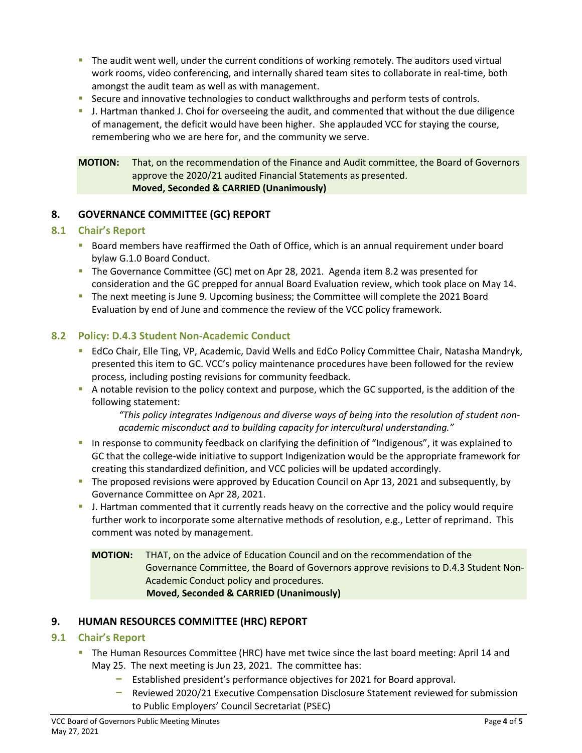- The audit went well, under the current conditions of working remotely. The auditors used virtual work rooms, video conferencing, and internally shared team sites to collaborate in real-time, both amongst the audit team as well as with management.
- Secure and innovative technologies to conduct walkthroughs and perform tests of controls.
- J. Hartman thanked J. Choi for overseeing the audit, and commented that without the due diligence of management, the deficit would have been higher. She applauded VCC for staying the course, remembering who we are here for, and the community we serve.

**MOTION:** That, on the recommendation of the Finance and Audit committee, the Board of Governors approve the 2020/21 audited Financial Statements as presented. **Moved, Seconded & CARRIED (Unanimously)**

## **8. GOVERNANCE COMMITTEE (GC) REPORT**

#### **8.1 Chair's Report**

- **Board members have reaffirmed the Oath of Office, which is an annual requirement under board** bylaw G.1.0 Board Conduct.
- The Governance Committee (GC) met on Apr 28, 2021. Agenda item 8.2 was presented for consideration and the GC prepped for annual Board Evaluation review, which took place on May 14.
- The next meeting is June 9. Upcoming business; the Committee will complete the 2021 Board Evaluation by end of June and commence the review of the VCC policy framework.

## **8.2 Policy: D.4.3 Student Non-Academic Conduct**

- **EdCo Chair, Elle Ting, VP, Academic, David Wells and EdCo Policy Committee Chair, Natasha Mandryk,** presented this item to GC. VCC's policy maintenance procedures have been followed for the review process, including posting revisions for community feedback.
- A notable revision to the policy context and purpose, which the GC supported, is the addition of the following statement:

*"This policy integrates Indigenous and diverse ways of being into the resolution of student nonacademic misconduct and to building capacity for intercultural understanding."*

- In response to community feedback on clarifying the definition of "Indigenous", it was explained to GC that the college-wide initiative to support Indigenization would be the appropriate framework for creating this standardized definition, and VCC policies will be updated accordingly.
- The proposed revisions were approved by Education Council on Apr 13, 2021 and subsequently, by Governance Committee on Apr 28, 2021.
- I. Hartman commented that it currently reads heavy on the corrective and the policy would require further work to incorporate some alternative methods of resolution, e.g., Letter of reprimand. This comment was noted by management.

**MOTION:** THAT, on the advice of Education Council and on the recommendation of the Governance Committee, the Board of Governors approve revisions to D.4.3 Student Non-Academic Conduct policy and procedures. **Moved, Seconded & CARRIED (Unanimously)**

#### **9. HUMAN RESOURCES COMMITTEE (HRC) REPORT**

#### **9.1 Chair's Report**

- The Human Resources Committee (HRC) have met twice since the last board meeting: April 14 and May 25. The next meeting is Jun 23, 2021. The committee has:
	- Established president's performance objectives for 2021 for Board approval.
	- Reviewed 2020/21 Executive Compensation Disclosure Statement reviewed for submission to Public Employers' Council Secretariat (PSEC)